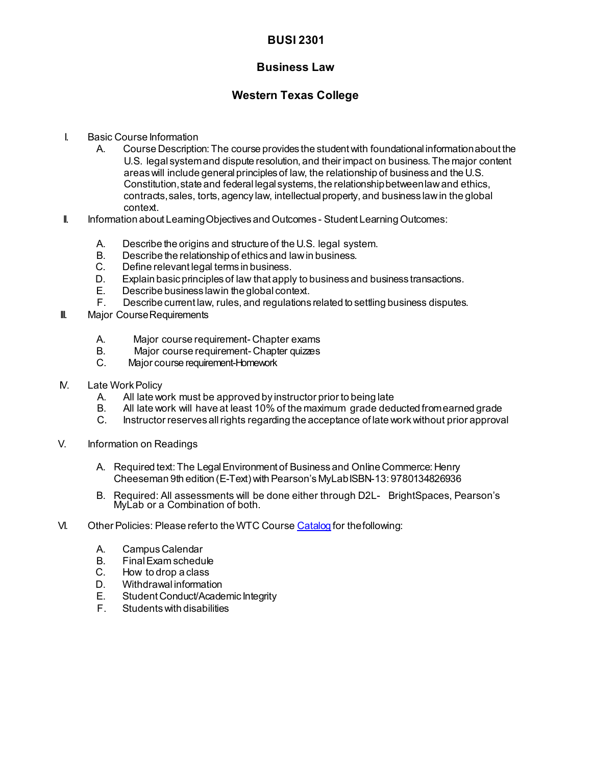## **BUSI 2301**

## **Business Law**

## **Western Texas College**

- I. Basic Course Information
	- A. Course Description:The course provides the student with foundational informationabout the U.S. legal systemand dispute resolution, and their impact on business.The major content areaswill include generalprinciples of law, the relationship of business and the U.S. Constitution,state and federal legal systems, the relationshipbetweenlawand ethics, contracts,sales, torts, agency law, intellectualproperty, and business lawin the global context.
- II. Information about Learning Objectives and Outcomes Student Learning Outcomes:
	- A. Describe the origins and structure of the U.S. legal system.
	- B. Describe the relationship of ethics and lawin business.
	- C. Define relevant legal terms in business.
	- D. Explain basic principles of law that apply to business and business transactions.
	- E. Describe business lawin the global context.
	- Describe current law, rules, and regulations related to settling business disputes.
- **III.** Major Course Requirements
	- A. Major course requirement- Chapter exams<br>B. Major course requirement- Chapter quizzes
	- B. Major course requirement- Chapter quizzes<br>C. Major course requirement-Homework
	- Major course requirement-Homework
- **N.** Late Work Policy
	- A. All late work must be approved by instructor prior to being late
	- B. All late work will have at least 10% of the maximum grade deducted fromearned grade
	- Instructor reserves all rights regarding the acceptance of late work without prior approval
- V. Information on Readings
	- A. Required text:The LegalEnvironment of Business and Online Commerce: Henry Cheeseman 9th edition (E-Text) with Pearson's MyLab ISBN-13: 9780134826936
	- B. Required: All assessments will be done either through D2L- BrightSpaces, Pearson's MyLab or a Combination of both.
- VI. Other Policies: Please referto the WTC Cours[e Catalog](http://www.wtc.edu/uploads/publications.html) for the following:
	- A. CampusCalendar
	- B. FinalExam schedule
	- C. How to drop a class
	- D. Withdrawal information<br>E. Student Conduct/Acade
	- Student Conduct/Academic Integrity
	- F. Studentswith disabilities